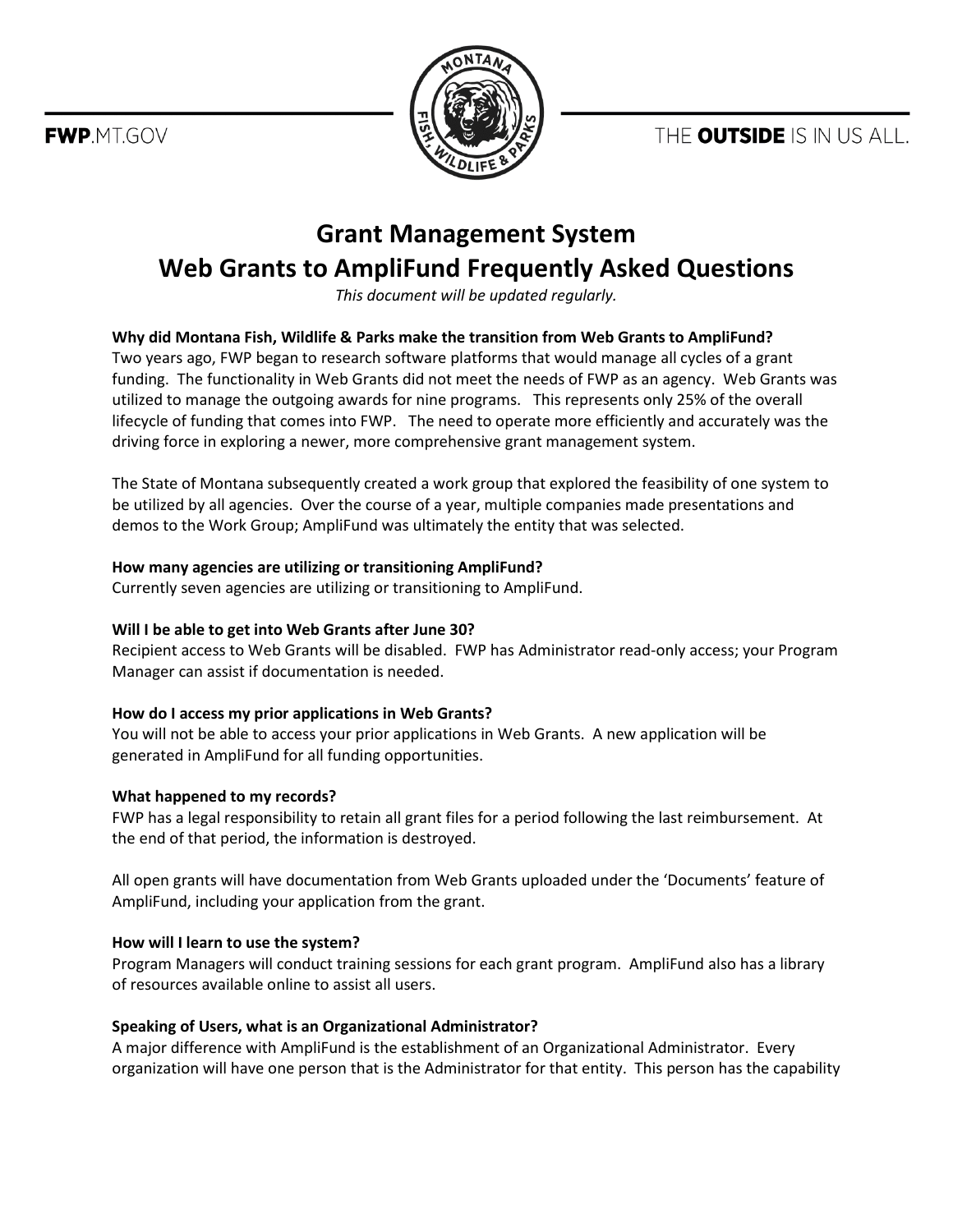THE **OUTSIDE** IS IN US ALL.

FWP.MT.GOV



# **Grant Management System Web Grants to AmpliFund Frequently Asked Questions**

*This document will be updated regularly.*

## **Why did Montana Fish, Wildlife & Parks make the transition from Web Grants to AmpliFund?**

Two years ago, FWP began to research software platforms that would manage all cycles of a grant funding. The functionality in Web Grants did not meet the needs of FWP as an agency. Web Grants was utilized to manage the outgoing awards for nine programs. This represents only 25% of the overall lifecycle of funding that comes into FWP. The need to operate more efficiently and accurately was the driving force in exploring a newer, more comprehensive grant management system.

The State of Montana subsequently created a work group that explored the feasibility of one system to be utilized by all agencies. Over the course of a year, multiple companies made presentations and demos to the Work Group; AmpliFund was ultimately the entity that was selected.

#### **How many agencies are utilizing or transitioning AmpliFund?**

Currently seven agencies are utilizing or transitioning to AmpliFund.

## **Will I be able to get into Web Grants after June 30?**

Recipient access to Web Grants will be disabled. FWP has Administrator read-only access; your Program Manager can assist if documentation is needed.

## **How do I access my prior applications in Web Grants?**

You will not be able to access your prior applications in Web Grants. A new application will be generated in AmpliFund for all funding opportunities.

#### **What happened to my records?**

FWP has a legal responsibility to retain all grant files for a period following the last reimbursement. At the end of that period, the information is destroyed.

All open grants will have documentation from Web Grants uploaded under the 'Documents' feature of AmpliFund, including your application from the grant.

#### **How will I learn to use the system?**

Program Managers will conduct training sessions for each grant program. AmpliFund also has a library of resources available online to assist all users.

## **Speaking of Users, what is an Organizational Administrator?**

A major difference with AmpliFund is the establishment of an Organizational Administrator. Every organization will have one person that is the Administrator for that entity. This person has the capability